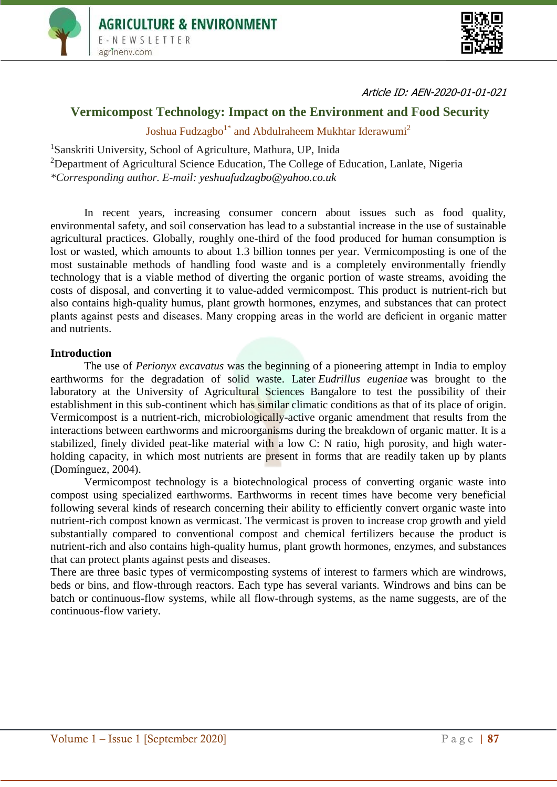



Article ID: AEN-2020-01-01-021

# **Vermicompost Technology: Impact on the Environment and Food Security**

Joshua Fudzagbo<sup>1\*</sup> and Abdulraheem Mukhtar Iderawumi<sup>2</sup>

<sup>1</sup>Sanskriti University, School of Agriculture, Mathura, UP, Inida <sup>2</sup>Department of Agricultural Science Education, The College of Education, Lanlate, Nigeria *\*Corresponding author. E-mail: yeshuafudzagbo@yahoo.co.uk*

In recent years, increasing consumer concern about issues such as food quality, environmental safety, and soil conservation has lead to a substantial increase in the use of sustainable agricultural practices. Globally, roughly one-third of the food produced for human consumption is lost or wasted, which amounts to about 1.3 billion tonnes per year. Vermicomposting is one of the most sustainable methods of handling food waste and is a completely environmentally friendly technology that is a viable method of diverting the organic portion of waste streams, avoiding the costs of disposal, and converting it to value-added vermicompost. This product is nutrient-rich but also contains high-quality humus, plant growth hormones, enzymes, and substances that can protect plants against pests and diseases. Many cropping areas in the world are deficient in organic matter and nutrients.

#### **Introduction**

The use of *Perionyx excavatus* was the beginning of a pioneering attempt in India to employ earthworms for the degradation of solid waste. Later *Eudrillus eugeniae* was brought to the laboratory at the University of Agricultural Sciences Bangalore to test the possibility of their establishment in this sub-continent which has similar climatic conditions as that of its place of origin. Vermicompost is a nutrient-rich, microbiologically-active organic amendment that results from the interactions between earthworms and microorganisms during the breakdown of organic matter. It is a stabilized, finely divided peat-like material with a low C: N ratio, high porosity, and high waterholding capacity, in which most nutrients are present in forms that are readily taken up by plants (Domínguez, 2004).

Vermicompost technology is a biotechnological process of converting organic waste into compost using specialized earthworms. Earthworms in recent times have become very beneficial following several kinds of research concerning their ability to efficiently convert organic waste into nutrient-rich compost known as vermicast. The vermicast is proven to increase crop growth and yield substantially compared to conventional compost and chemical fertilizers because the product is nutrient-rich and also contains high-quality humus, plant growth hormones, enzymes, and substances that can protect plants against pests and diseases.

There are three basic types of vermicomposting systems of interest to farmers which are windrows, beds or bins, and flow-through reactors. Each type has several variants. Windrows and bins can be batch or continuous-flow systems, while all flow-through systems, as the name suggests, are of the continuous-flow variety.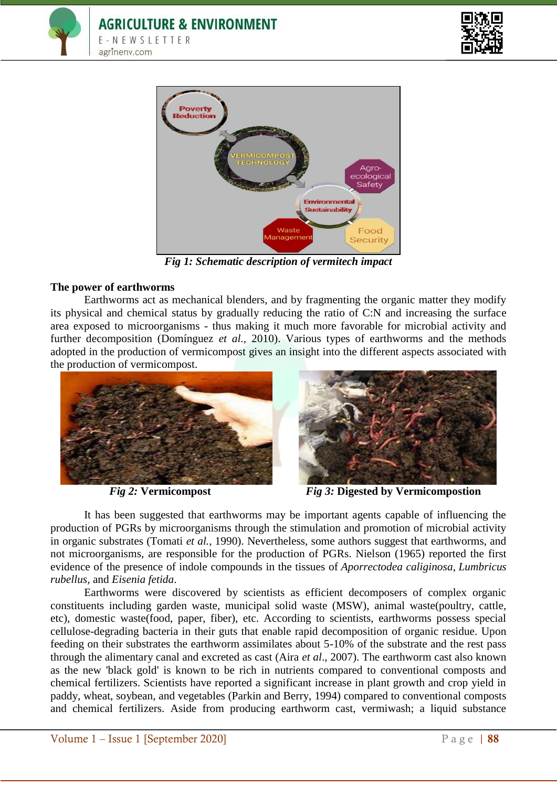





*Fig 1: Schematic description of vermitech impact*

# **The power of earthworms**

Earthworms act as mechanical blenders, and by fragmenting the organic matter they modify its physical and chemical status by gradually reducing the ratio of C:N and increasing the surface area exposed to microorganisms - thus making it much more favorable for microbial activity and further decomposition (Domínguez *et al.,* 2010). Various types of earthworms and the methods adopted in the production of vermicompost gives an insight into the different aspects associated with the production of vermicompost.





 *Fig 2:* **Vermicompost** *Fig 3:* **Digested by Vermicompostion**

It has been suggested that earthworms may be important agents capable of influencing the production of PGRs by microorganisms through the stimulation and promotion of microbial activity in organic substrates (Tomati *et al.,* 1990). Nevertheless, some authors suggest that earthworms, and not microorganisms, are responsible for the production of PGRs. Nielson (1965) reported the first evidence of the presence of indole compounds in the tissues of *Aporrectodea caliginosa*, *Lumbricus rubellus*, and *Eisenia fetida*.

Earthworms were discovered by scientists as efficient decomposers of complex organic constituents including garden waste, municipal solid waste (MSW), animal waste(poultry, cattle, etc), domestic waste(food, paper, fiber), etc. According to scientists, earthworms possess special cellulose-degrading bacteria in their guts that enable rapid decomposition of organic residue. Upon feeding on their substrates the earthworm assimilates about 5-10% of the substrate and the rest pass through the alimentary canal and excreted as cast (Aira *et al*., 2007). The earthworm cast also known as the new 'black gold' is known to be rich in nutrients compared to conventional composts and chemical fertilizers. Scientists have reported a significant increase in plant growth and crop yield in paddy, wheat, soybean, and vegetables (Parkin and Berry, 1994) compared to conventional composts and chemical fertilizers. Aside from producing earthworm cast, vermiwash; a liquid substance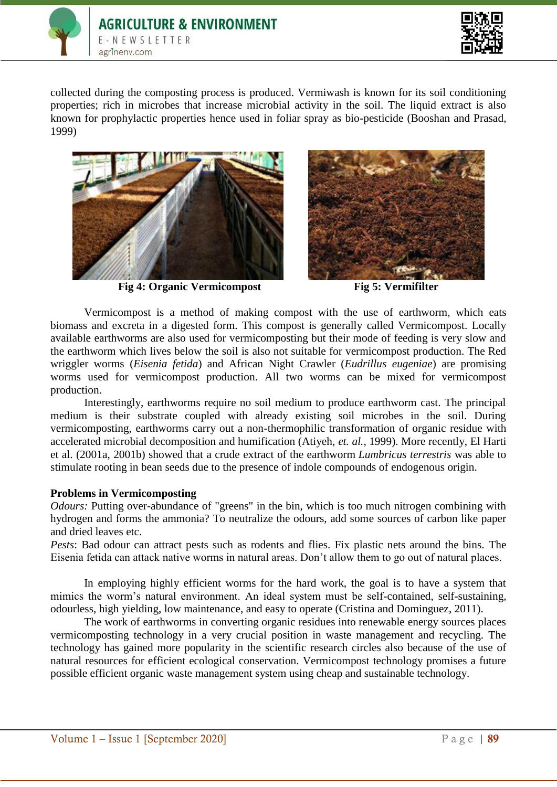



collected during the composting process is produced. Vermiwash is known for its soil conditioning properties; rich in microbes that increase microbial activity in the soil. The liquid extract is also known for prophylactic properties hence used in foliar spray as bio-pesticide (Booshan and Prasad, 1999)



**Fig 4: Organic Vermicompost Fig 5: Vermifilter**



Vermicompost is a method of making compost with the use of earthworm, which eats biomass and excreta in a digested form. This compost is generally called Vermicompost. Locally available earthworms are also used for vermicomposting but their mode of feeding is very slow and the earthworm which lives below the soil is also not suitable for vermicompost production. The Red wriggler worms (*Eisenia fetida*) and African Night Crawler (*Eudrillus eugeniae*) are promising worms used for vermicompost production. All two worms can be mixed for vermicompost production.

Interestingly, earthworms require no soil medium to produce earthworm cast. The principal medium is their substrate coupled with already existing soil microbes in the soil. During vermicomposting, earthworms carry out a non-thermophilic transformation of organic residue with accelerated microbial decomposition and humification (Atiyeh, *et. al.,* 1999). More recently, El Harti et al. (2001a, 2001b) showed that a crude extract of the earthworm *Lumbricus terrestris* was able to stimulate rooting in bean seeds due to the presence of indole compounds of endogenous origin.

#### **Problems in Vermicomposting**

*Odours:* Putting over-abundance of "greens" in the bin, which is too much nitrogen combining with hydrogen and forms the ammonia? To neutralize the odours, add some sources of carbon like paper and dried leaves etc.

*Pests*: Bad odour can attract pests such as rodents and flies. Fix plastic nets around the bins. The Eisenia fetida can attack native worms in natural areas. Don't allow them to go out of natural places.

In employing highly efficient worms for the hard work, the goal is to have a system that mimics the worm's natural environment. An ideal system must be self-contained, self-sustaining, odourless, high yielding, low maintenance, and easy to operate (Cristina and Dominguez, 2011).

The work of earthworms in converting organic residues into renewable energy sources places vermicomposting technology in a very crucial position in waste management and recycling. The technology has gained more popularity in the scientific research circles also because of the use of natural resources for efficient ecological conservation. Vermicompost technology promises a future possible efficient organic waste management system using cheap and sustainable technology.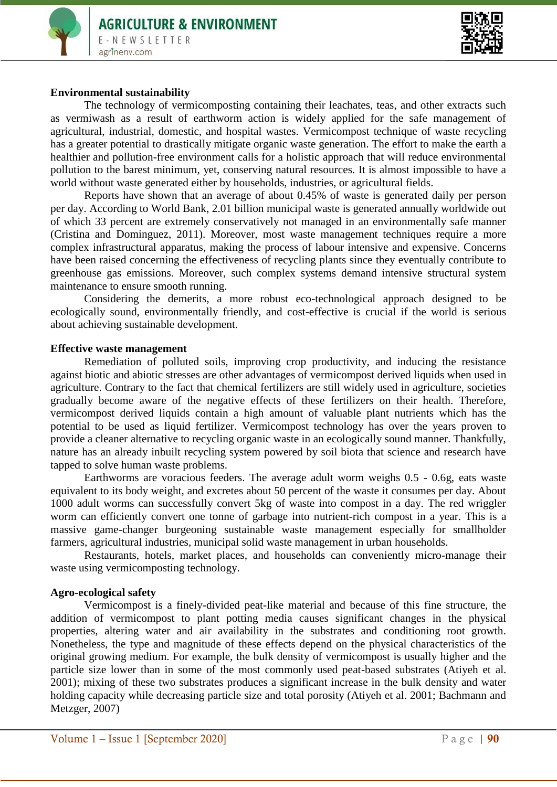

#### **Environmental sustainability**

The technology of vermicomposting containing their leachates, teas, and other extracts such as vermiwash as a result of earthworm action is widely applied for the safe management of agricultural, industrial, domestic, and hospital wastes. Vermicompost technique of waste recycling has a greater potential to drastically mitigate organic waste generation. The effort to make the earth a healthier and pollution-free environment calls for a holistic approach that will reduce environmental pollution to the barest minimum, yet, conserving natural resources. It is almost impossible to have a world without waste generated either by households, industries, or agricultural fields.

Reports have shown that an average of about 0.45% of waste is generated daily per person per day. According to World Bank, 2.01 billion municipal waste is generated annually worldwide out of which 33 percent are extremely conservatively not managed in an environmentally safe manner (Cristina and Dominguez, 2011). Moreover, most waste management techniques require a more complex infrastructural apparatus, making the process of labour intensive and expensive. Concerns have been raised concerning the effectiveness of recycling plants since they eventually contribute to greenhouse gas emissions. Moreover, such complex systems demand intensive structural system maintenance to ensure smooth running.

Considering the demerits, a more robust eco-technological approach designed to be ecologically sound, environmentally friendly, and cost-effective is crucial if the world is serious about achieving sustainable development.

#### **Effective waste management**

Remediation of polluted soils, improving crop productivity, and inducing the resistance against biotic and abiotic stresses are other advantages of vermicompost derived liquids when used in agriculture. Contrary to the fact that chemical fertilizers are still widely used in agriculture, societies gradually become aware of the negative effects of these fertilizers on their health. Therefore, vermicompost derived liquids contain a high amount of valuable plant nutrients which has the potential to be used as liquid fertilizer. Vermicompost technology has over the years proven to provide a cleaner alternative to recycling organic waste in an ecologically sound manner. Thankfully, nature has an already inbuilt recycling system powered by soil biota that science and research have tapped to solve human waste problems.

Earthworms are voracious feeders. The average adult worm weighs 0.5 - 0.6g, eats waste equivalent to its body weight, and excretes about 50 percent of the waste it consumes per day. About 1000 adult worms can successfully convert 5kg of waste into compost in a day. The red wriggler worm can efficiently convert one tonne of garbage into nutrient-rich compost in a year. This is a massive game-changer burgeoning sustainable waste management especially for smallholder farmers, agricultural industries, municipal solid waste management in urban households.

Restaurants, hotels, market places, and households can conveniently micro-manage their waste using vermicomposting technology.

#### **Agro-ecological safety**

Vermicompost is a finely-divided peat-like material and because of this fine structure, the addition of vermicompost to plant potting media causes significant changes in the physical properties, altering water and air availability in the substrates and conditioning root growth. Nonetheless, the type and magnitude of these effects depend on the physical characteristics of the original growing medium. For example, the bulk density of vermicompost is usually higher and the particle size lower than in some of the most commonly used peat-based substrates (Atiyeh et al. 2001); mixing of these two substrates produces a significant increase in the bulk density and water holding capacity while decreasing particle size and total porosity (Atiyeh et al. 2001; Bachmann and Metzger, 2007)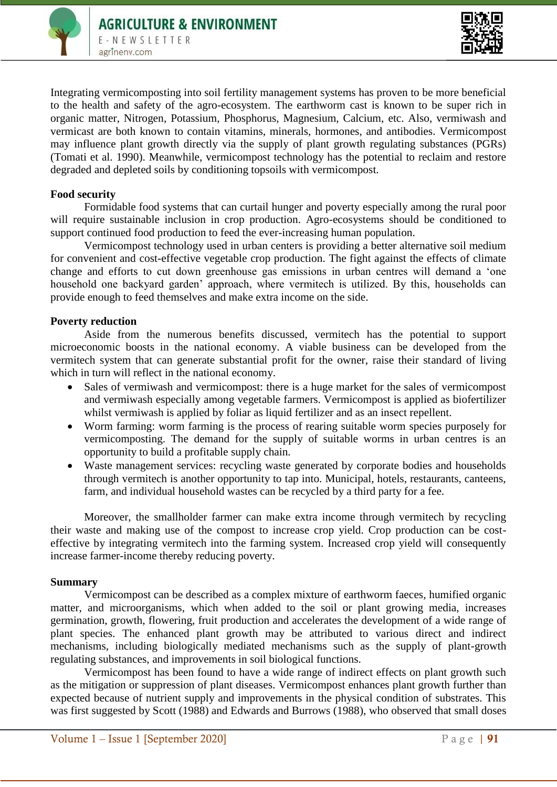

Integrating vermicomposting into soil fertility management systems has proven to be more beneficial to the health and safety of the agro-ecosystem. The earthworm cast is known to be super rich in organic matter, Nitrogen, Potassium, Phosphorus, Magnesium, Calcium, etc. Also, vermiwash and vermicast are both known to contain vitamins, minerals, hormones, and antibodies. Vermicompost may influence plant growth directly via the supply of plant growth regulating substances (PGRs) (Tomati et al. 1990). Meanwhile, vermicompost technology has the potential to reclaim and restore degraded and depleted soils by conditioning topsoils with vermicompost.

# **Food security**

Formidable food systems that can curtail hunger and poverty especially among the rural poor will require sustainable inclusion in crop production. Agro-ecosystems should be conditioned to support continued food production to feed the ever-increasing human population.

Vermicompost technology used in urban centers is providing a better alternative soil medium for convenient and cost-effective vegetable crop production. The fight against the effects of climate change and efforts to cut down greenhouse gas emissions in urban centres will demand a 'one household one backyard garden' approach, where vermitech is utilized. By this, households can provide enough to feed themselves and make extra income on the side.

# **Poverty reduction**

Aside from the numerous benefits discussed, vermitech has the potential to support microeconomic boosts in the national economy. A viable business can be developed from the vermitech system that can generate substantial profit for the owner, raise their standard of living which in turn will reflect in the national economy.

- Sales of vermiwash and vermicompost: there is a huge market for the sales of vermicompost and vermiwash especially among vegetable farmers. Vermicompost is applied as biofertilizer whilst vermiwash is applied by foliar as liquid fertilizer and as an insect repellent.
- Worm farming: worm farming is the process of rearing suitable worm species purposely for vermicomposting. The demand for the supply of suitable worms in urban centres is an opportunity to build a profitable supply chain.
- Waste management services: recycling waste generated by corporate bodies and households through vermitech is another opportunity to tap into. Municipal, hotels, restaurants, canteens, farm, and individual household wastes can be recycled by a third party for a fee.

Moreover, the smallholder farmer can make extra income through vermitech by recycling their waste and making use of the compost to increase crop yield. Crop production can be costeffective by integrating vermitech into the farming system. Increased crop yield will consequently increase farmer-income thereby reducing poverty.

# **Summary**

Vermicompost can be described as a complex mixture of earthworm faeces, humified organic matter, and microorganisms, which when added to the soil or plant growing media, increases germination, growth, flowering, fruit production and accelerates the development of a wide range of plant species. The enhanced plant growth may be attributed to various direct and indirect mechanisms, including biologically mediated mechanisms such as the supply of plant-growth regulating substances, and improvements in soil biological functions.

Vermicompost has been found to have a wide range of indirect effects on plant growth such as the mitigation or suppression of plant diseases. Vermicompost enhances plant growth further than expected because of nutrient supply and improvements in the physical condition of substrates. This was first suggested by Scott (1988) and Edwards and Burrows (1988), who observed that small doses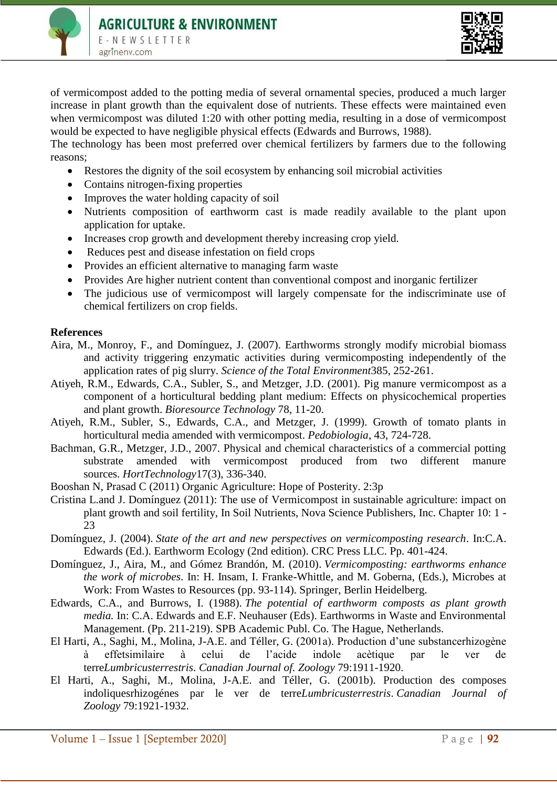



of vermicompost added to the potting media of several ornamental species, produced a much larger increase in plant growth than the equivalent dose of nutrients. These effects were maintained even when vermicompost was diluted 1:20 with other potting media, resulting in a dose of vermicompost would be expected to have negligible physical effects (Edwards and Burrows, 1988).

The technology has been most preferred over chemical fertilizers by farmers due to the following reasons;

- Restores the dignity of the soil ecosystem by enhancing soil microbial activities
- Contains nitrogen-fixing properties
- Improves the water holding capacity of soil
- Nutrients composition of earthworm cast is made readily available to the plant upon application for uptake.
- Increases crop growth and development thereby increasing crop yield.
- Reduces pest and disease infestation on field crops
- Provides an efficient alternative to managing farm waste
- Provides Are higher nutrient content than conventional compost and inorganic fertilizer
- The judicious use of vermicompost will largely compensate for the indiscriminate use of chemical fertilizers on crop fields.

#### **References**

- Aira, M., Monroy, F., and Domínguez, J. (2007). Earthworms strongly modify microbial biomass and activity triggering enzymatic activities during vermicomposting independently of the application rates of pig slurry. *Science of the Total Environment*385, 252-261.
- Atiyeh, R.M., Edwards, C.A., Subler, S., and Metzger, J.D. (2001). Pig manure vermicompost as a component of a horticultural bedding plant medium: Effects on physicochemical properties and plant growth. *Bioresource Technology* 78, 11-20.
- Atiyeh, R.M., Subler, S., Edwards, C.A., and Metzger, J. (1999). Growth of tomato plants in horticultural media amended with vermicompost. *Pedobiologia*, 43, 724-728.
- Bachman, G.R., Metzger, J.D., 2007. Physical and chemical characteristics of a commercial potting substrate amended with vermicompost produced from two different manure sources. *HortTechnology*17(3), 336-340.
- Booshan N, Prasad C (2011) Organic Agriculture: Hope of Posterity. 2:3p
- Cristina L.and J. Domínguez (2011): The use of Vermicompost in sustainable agriculture: impact on plant growth and soil fertility, In Soil Nutrients, Nova Science Publishers, Inc. Chapter 10: 1 - 23
- Domínguez, J. (2004). *State of the art and new perspectives on vermicomposting research*. In:C.A. Edwards (Ed.). Earthworm Ecology (2nd edition). CRC Press LLC. Pp. 401-424.
- Domínguez, J., Aira, M., and Gómez Brandón, M. (2010). *Vermicomposting: earthworms enhance the work of microbes*. In: H. Insam, I. Franke-Whittle, and M. Goberna, (Eds.), Microbes at Work: From Wastes to Resources (pp. 93-114). Springer, Berlin Heidelberg.
- Edwards, C.A., and Burrows, I. (1988). *The potential of earthworm composts as plant growth media.* In: C.A. Edwards and E.F. Neuhauser (Eds). Earthworms in Waste and Environmental Management. (Pp. 211-219). SPB Academic Publ. Co. The Hague, Netherlands.
- El Harti, A., Saghi, M., Molina, J-A.E. and Téller, G. (2001a). Production d'une substancerhizogène à effetsimilaire à celui de l'acide indole acètique par le ver de terre*Lumbricusterrestris*. *Canadian Journal of. Zoology* 79:1911-1920.
- El Harti, A., Saghi, M., Molina, J-A.E. and Téller, G. (2001b). Production des composes indoliquesrhizogénes par le ver de terre*Lumbricusterrestris*. *Canadian Journal of Zoology* 79:1921-1932.